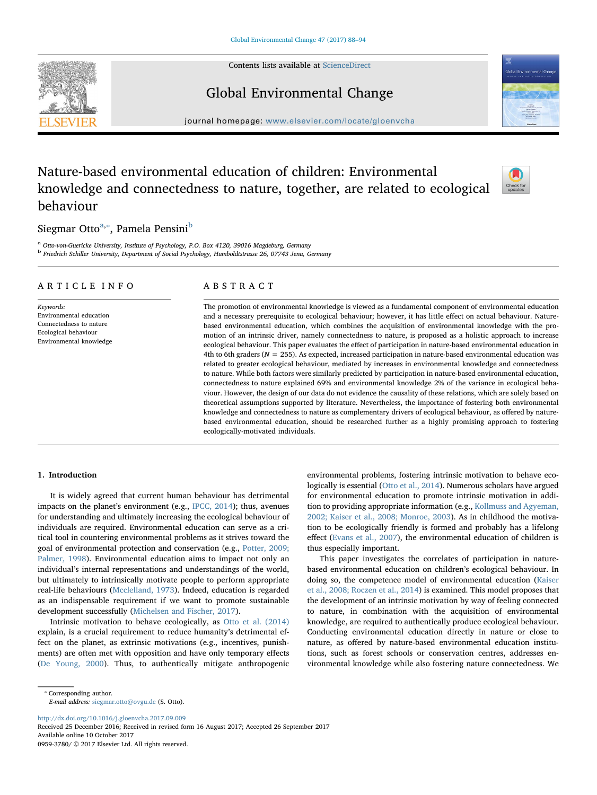Contents lists available at [ScienceDirect](http://www.sciencedirect.com/science/journal/09593780)





Global Environmental Change

 $j$ ornal homepage: [www.elsevier.com/locate/gloenvcha](https://www.elsevier.com/locate/gloenvcha)al/locate/gloenvchaal/locate/gloenvchaal/locate/gloenvchaal/locate/gloenvchaal/locate/gloenvchaal/locate/gloenvchaal/locate/gloenvchaal/locate/gloenvchaal/locate/gloenvc

# Nature-based environmental education of children: Environmental knowledge and connectedness to nature, together, are related to ecological behaviour



# Siegmar Otto<sup>[a,](#page-0-0)</sup>\*, Pamela Pensini<sup>[b](#page-0-2)</sup>

<span id="page-0-2"></span><span id="page-0-0"></span><sup>a</sup> Otto-von-Guericke University, Institute of Psychology, P.O. Box 4120, 39016 Magdeburg, Germany <sup>b</sup> Friedrich Schiller University, Department of Social Psychology, Humboldtstrasse 26, 07743 Jena, Germany

# ARTICLE INFO

Keywords: Environmental education Connectedness to nature Ecological behaviour Environmental knowledge

# ABSTRACT

The promotion of environmental knowledge is viewed as a fundamental component of environmental education and a necessary prerequisite to ecological behaviour; however, it has little effect on actual behaviour. Naturebased environmental education, which combines the acquisition of environmental knowledge with the promotion of an intrinsic driver, namely connectedness to nature, is proposed as a holistic approach to increase ecological behaviour. This paper evaluates the effect of participation in nature-based environmental education in 4th to 6th graders ( $N = 255$ ). As expected, increased participation in nature-based environmental education was related to greater ecological behaviour, mediated by increases in environmental knowledge and connectedness to nature. While both factors were similarly predicted by participation in nature-based environmental education, connectedness to nature explained 69% and environmental knowledge 2% of the variance in ecological behaviour. However, the design of our data do not evidence the causality of these relations, which are solely based on theoretical assumptions supported by literature. Nevertheless, the importance of fostering both environmental knowledge and connectedness to nature as complementary drivers of ecological behaviour, as offered by naturebased environmental education, should be researched further as a highly promising approach to fostering ecologically-motivated individuals.

# 1. Introduction

It is widely agreed that current human behaviour has detrimental impacts on the planet's environment (e.g., [IPCC, 2014](#page-6-0)); thus, avenues for understanding and ultimately increasing the ecological behaviour of individuals are required. Environmental education can serve as a critical tool in countering environmental problems as it strives toward the goal of environmental protection and conservation (e.g., [Potter, 2009;](#page-6-1) [Palmer, 1998](#page-6-1)). Environmental education aims to impact not only an individual's internal representations and understandings of the world, but ultimately to intrinsically motivate people to perform appropriate real-life behaviours [\(Mcclelland, 1973](#page-6-2)). Indeed, education is regarded as an indispensable requirement if we want to promote sustainable development successfully ([Michelsen and Fischer, 2017\)](#page-6-3).

Intrinsic motivation to behave ecologically, as [Otto et al. \(2014\)](#page-6-4) explain, is a crucial requirement to reduce humanity's detrimental effect on the planet, as extrinsic motivations (e.g., incentives, punishments) are often met with opposition and have only temporary effects ([De Young, 2000\)](#page-5-0). Thus, to authentically mitigate anthropogenic environmental problems, fostering intrinsic motivation to behave ecologically is essential ([Otto et al., 2014\)](#page-6-4). Numerous scholars have argued for environmental education to promote intrinsic motivation in addition to providing appropriate information (e.g., [Kollmuss and Agyeman,](#page-6-5) [2002; Kaiser et al., 2008; Monroe, 2003\)](#page-6-5). As in childhood the motivation to be ecologically friendly is formed and probably has a lifelong effect ([Evans et al., 2007](#page-5-1)), the environmental education of children is thus especially important.

This paper investigates the correlates of participation in naturebased environmental education on children's ecological behaviour. In doing so, the competence model of environmental education ([Kaiser](#page-6-6) [et al., 2008; Roczen et al., 2014\)](#page-6-6) is examined. This model proposes that the development of an intrinsic motivation by way of feeling connected to nature, in combination with the acquisition of environmental knowledge, are required to authentically produce ecological behaviour. Conducting environmental education directly in nature or close to nature, as offered by nature-based environmental education institutions, such as forest schools or conservation centres, addresses environmental knowledge while also fostering nature connectedness. We

E-mail address: [siegmar.otto@ovgu.de](mailto:siegmar.otto@ovgu.de) (S. Otto).

<http://dx.doi.org/10.1016/j.gloenvcha.2017.09.009>

Received 25 December 2016; Received in revised form 16 August 2017; Accepted 26 September 2017 Available online 10 October 2017

0959-3780/ © 2017 Elsevier Ltd. All rights reserved.

<span id="page-0-1"></span><sup>⁎</sup> Corresponding author.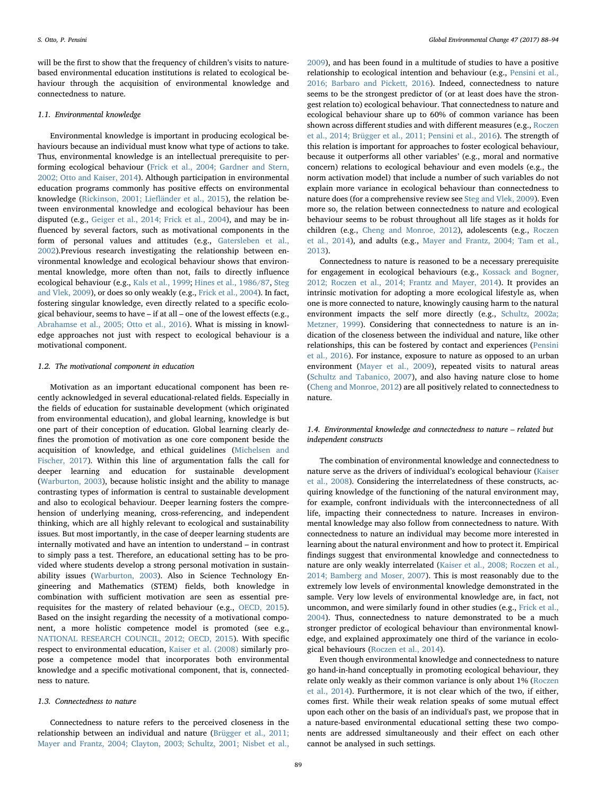will be the first to show that the frequency of children's visits to naturebased environmental education institutions is related to ecological behaviour through the acquisition of environmental knowledge and connectedness to nature.

#### 1.1. Environmental knowledge

Environmental knowledge is important in producing ecological behaviours because an individual must know what type of actions to take. Thus, environmental knowledge is an intellectual prerequisite to performing ecological behaviour ([Frick et al., 2004; Gardner and Stern,](#page-5-2) [2002; Otto and Kaiser, 2014\)](#page-5-2). Although participation in environmental education programs commonly has positive effects on environmental knowledge ([Rickinson, 2001; Lie](#page-6-7)fländer et al., 2015), the relation between environmental knowledge and ecological behaviour has been disputed (e.g., [Geiger et al., 2014; Frick et al., 2004\)](#page-5-3), and may be influenced by several factors, such as motivational components in the form of personal values and attitudes (e.g., [Gatersleben et al.,](#page-5-4) [2002\)](#page-5-4).Previous research investigating the relationship between environmental knowledge and ecological behaviour shows that environmental knowledge, more often than not, fails to directly influence ecological behaviour (e.g., [Kals et al., 1999;](#page-6-8) [Hines et al., 1986/87](#page-6-9), [Steg](#page-6-10) [and Vlek, 2009](#page-6-10)), or does so only weakly (e.g., [Frick et al., 2004](#page-5-2)). In fact, fostering singular knowledge, even directly related to a specific ecological behaviour, seems to have – if at all – one of the lowest effects (e.g., [Abrahamse et al., 2005; Otto et al., 2016](#page-5-5)). What is missing in knowledge approaches not just with respect to ecological behaviour is a motivational component.

# 1.2. The motivational component in education

Motivation as an important educational component has been recently acknowledged in several educational-related fields. Especially in the fields of education for sustainable development (which originated from environmental education), and global learning, knowledge is but one part of their conception of education. Global learning clearly defines the promotion of motivation as one core component beside the acquisition of knowledge, and ethical guidelines [\(Michelsen and](#page-6-3) [Fischer, 2017](#page-6-3)). Within this line of argumentation falls the call for deeper learning and education for sustainable development ([Warburton, 2003\)](#page-6-11), because holistic insight and the ability to manage contrasting types of information is central to sustainable development and also to ecological behaviour. Deeper learning fosters the comprehension of underlying meaning, cross-referencing, and independent thinking, which are all highly relevant to ecological and sustainability issues. But most importantly, in the case of deeper learning students are internally motivated and have an intention to understand – in contrast to simply pass a test. Therefore, an educational setting has to be provided where students develop a strong personal motivation in sustainability issues ([Warburton, 2003](#page-6-11)). Also in Science Technology Engineering and Mathematics (STEM) fields, both knowledge in combination with sufficient motivation are seen as essential prerequisites for the mastery of related behaviour (e.g., [OECD,](#page-6-12) 2015). Based on the insight regarding the necessity of a motivational component, a more holistic competence model is promoted (see e.g., [NATIONAL RESEARCH COUNCIL, 2012; OECD, 2015\)](#page-6-13). With specific respect to environmental education, [Kaiser et al. \(2008\)](#page-6-6) similarly propose a competence model that incorporates both environmental knowledge and a specific motivational component, that is, connectedness to nature.

#### 1.3. Connectedness to nature

Connectedness to nature refers to the perceived closeness in the relationship between an individual and nature ([Brügger et al., 2011;](#page-5-6) [Mayer and Frantz, 2004; Clayton, 2003; Schultz, 2001; Nisbet et al.,](#page-5-6)

[2009\)](#page-5-6), and has been found in a multitude of studies to have a positive relationship to ecological intention and behaviour (e.g., [Pensini et al.,](#page-6-14) [2016; Barbaro and Pickett, 2016](#page-6-14)). Indeed, connectedness to nature seems to be the strongest predictor of (or at least does have the strongest relation to) ecological behaviour. That connectedness to nature and ecological behaviour share up to 60% of common variance has been shown across different studies and with different measures (e.g., [Roczen](#page-6-15) [et al., 2014; Brügger et al., 2011; Pensini et al., 2016\)](#page-6-15). The strength of this relation is important for approaches to foster ecological behaviour, because it outperforms all other variables' (e.g., moral and normative concern) relations to ecological behaviour and even models (e.g., the norm activation model) that include a number of such variables do not explain more variance in ecological behaviour than connectedness to nature does (for a comprehensive review see [Steg and Vlek, 2009](#page-6-10)). Even more so, the relation between connectedness to nature and ecological behaviour seems to be robust throughout all life stages as it holds for children (e.g., [Cheng and Monroe, 2012\)](#page-5-7), adolescents (e.g., [Roczen](#page-6-15) [et al., 2014\)](#page-6-15), and adults (e.g., [Mayer and Frantz, 2004; Tam et al.,](#page-6-16) [2013\)](#page-6-16).

Connectedness to nature is reasoned to be a necessary prerequisite for engagement in ecological behaviours (e.g., [Kossack and Bogner,](#page-6-17) [2012; Roczen et al., 2014; Frantz and Mayer, 2014](#page-6-17)). It provides an intrinsic motivation for adopting a more ecological lifestyle as, when one is more connected to nature, knowingly causing harm to the natural environment impacts the self more directly (e.g., [Schultz, 2002a;](#page-6-18) [Metzner, 1999\)](#page-6-18). Considering that connectedness to nature is an indication of the closeness between the individual and nature, like other relationships, this can be fostered by contact and experiences [\(Pensini](#page-6-14) [et al., 2016\)](#page-6-14). For instance, exposure to nature as opposed to an urban environment [\(Mayer et al., 2009](#page-6-19)), repeated visits to natural areas ([Schultz and Tabanico, 2007\)](#page-6-20), and also having nature close to home ([Cheng and Monroe, 2012\)](#page-5-7) are all positively related to connectedness to nature.

1.4. Environmental knowledge and connectedness to nature – related but independent constructs

The combination of environmental knowledge and connectedness to nature serve as the drivers of individual's ecological behaviour ([Kaiser](#page-6-6) [et al., 2008](#page-6-6)). Considering the interrelatedness of these constructs, acquiring knowledge of the functioning of the natural environment may, for example, confront individuals with the interconnectedness of all life, impacting their connectedness to nature. Increases in environmental knowledge may also follow from connectedness to nature. With connectedness to nature an individual may become more interested in learning about the natural environment and how to protect it. Empirical findings suggest that environmental knowledge and connectedness to nature are only weakly interrelated ([Kaiser et al., 2008; Roczen et al.,](#page-6-6) [2014; Bamberg and Moser, 2007\)](#page-6-6). This is most reasonably due to the extremely low levels of environmental knowledge demonstrated in the sample. Very low levels of environmental knowledge are, in fact, not uncommon, and were similarly found in other studies (e.g., [Frick et al.,](#page-5-2) [2004\)](#page-5-2). Thus, connectedness to nature demonstrated to be a much stronger predictor of ecological behaviour than environmental knowledge, and explained approximately one third of the variance in ecological behaviours [\(Roczen et al., 2014](#page-6-15)).

Even though environmental knowledge and connectedness to nature go hand-in-hand conceptually in promoting ecological behaviour, they relate only weakly as their common variance is only about 1% [\(Roczen](#page-6-15) [et al., 2014](#page-6-15)). Furthermore, it is not clear which of the two, if either, comes first. While their weak relation speaks of some mutual effect upon each other on the basis of an individual's past, we propose that in a nature-based environmental educational setting these two components are addressed simultaneously and their effect on each other cannot be analysed in such settings.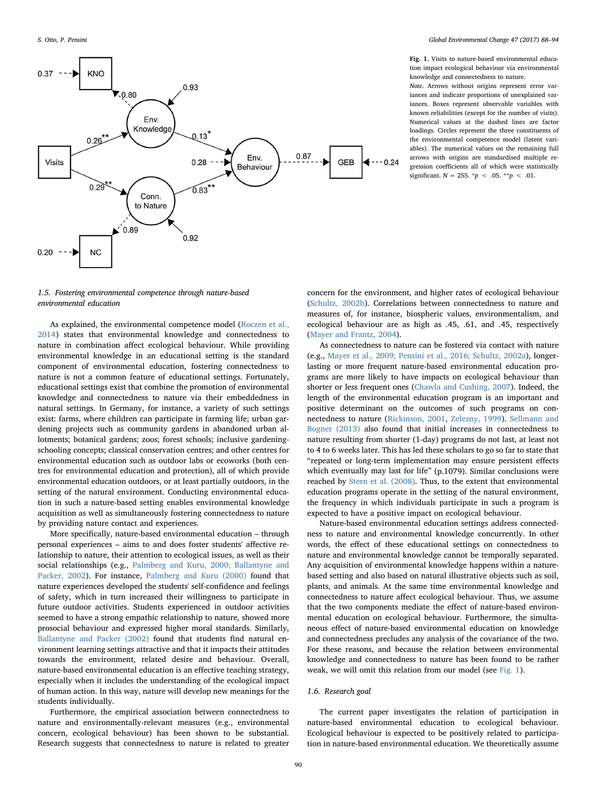<span id="page-2-0"></span>

Fig. 1. Visits to nature-based environmental education impact ecological behaviour via environmental knowledge and connectedness to nature.

Note. Arrows without origins represent error variances and indicate proportions of unexplained variances. Boxes represent observable variables with known reliabilities (except for the number of visits). Numerical values at the dashed lines are factor loadings. Circles represent the three constituents of the environmental competence model (latent variables). The numerical values on the remaining full arrows with origins are standardised multiple regression coefficients all of which were statistically significant.  $N = 255$ . \*p < .05. \*\*p < .01.

1.5. Fostering environmental competence through nature-based environmental education

As explained, the environmental competence model [\(Roczen et al.,](#page-6-15) [2014\)](#page-6-15) states that environmental knowledge and connectedness to nature in combination affect ecological behaviour. While providing environmental knowledge in an educational setting is the standard component of environmental education, fostering connectedness to nature is not a common feature of educational settings. Fortunately, educational settings exist that combine the promotion of environmental knowledge and connectedness to nature via their embeddedness in natural settings. In Germany, for instance, a variety of such settings exist: farms, where children can participate in farming life; urban gardening projects such as community gardens in abandoned urban allotments; botanical gardens; zoos; forest schools; inclusive gardeningschooling concepts; classical conservation centres; and other centres for environmental education such as outdoor labs or ecoworks (both centres for environmental education and protection), all of which provide environmental education outdoors, or at least partially outdoors, in the setting of the natural environment. Conducting environmental education in such a nature-based setting enables environmental knowledge acquisition as well as simultaneously fostering connectedness to nature by providing nature contact and experiences.

More specifically, nature-based environmental education – through personal experiences – aims to and does foster students' affective relationship to nature, their attention to ecological issues, as well as their social relationships (e.g., [Palmberg and Kuru, 2000; Ballantyne and](#page-6-21) [Packer, 2002\)](#page-6-21). For instance, [Palmberg and Kuru \(2000\)](#page-6-21) found that nature experiences developed the students' self-confidence and feelings of safety, which in turn increased their willingness to participate in future outdoor activities. Students experienced in outdoor activities seemed to have a strong empathic relationship to nature, showed more prosocial behaviour and expressed higher moral standards. Similarly, [Ballantyne and Packer \(2002\)](#page-5-8) found that students find natural environment learning settings attractive and that it impacts their attitudes towards the environment, related desire and behaviour. Overall, nature-based environmental education is an effective teaching strategy, especially when it includes the understanding of the ecological impact of human action. In this way, nature will develop new meanings for the students individually.

Furthermore, the empirical association between connectedness to nature and environmentally-relevant measures (e.g., environmental concern, ecological behaviour) has been shown to be substantial. Research suggests that connectedness to nature is related to greater

concern for the environment, and higher rates of ecological behaviour ([Schultz, 2002b\)](#page-6-22). Correlations between connectedness to nature and measures of, for instance, biospheric values, environmentalism, and ecological behaviour are as high as .45, .61, and .45, respectively ([Mayer and Frantz, 2004](#page-6-16)).

As connectedness to nature can be fostered via contact with nature (e.g., [Mayer et al., 2009; Pensini et al., 2016; Schultz, 2002a\)](#page-6-19), longerlasting or more frequent nature-based environmental education programs are more likely to have impacts on ecological behaviour than shorter or less frequent ones ([Chawla and Cushing, 2007\)](#page-5-9). Indeed, the length of the environmental education program is an important and positive determinant on the outcomes of such programs on connectedness to nature ([Rickinson, 2001,](#page-6-7) [Zelezny, 1999](#page-6-23)). [Sellmann and](#page-6-24) [Bogner \(2013\)](#page-6-24) also found that initial increases in connectedness to nature resulting from shorter (1-day) programs do not last, at least not to 4 to 6 weeks later. This has led these scholars to go so far to state that "repeated or long-term implementation may ensure persistent effects which eventually may last for life" (p.1079). Similar conclusions were reached by [Stern et al. \(2008\)](#page-6-25). Thus, to the extent that environmental education programs operate in the setting of the natural environment, the frequency in which individuals participate in such a program is expected to have a positive impact on ecological behaviour.

Nature-based environmental education settings address connectedness to nature and environmental knowledge concurrently. In other words, the effect of these educational settings on connectedness to nature and environmental knowledge cannot be temporally separated. Any acquisition of environmental knowledge happens within a naturebased setting and also based on natural illustrative objects such as soil, plants, and animals. At the same time environmental knowledge and connectedness to nature affect ecological behaviour. Thus, we assume that the two components mediate the effect of nature-based environmental education on ecological behaviour. Furthermore, the simultaneous effect of nature-based environmental education on knowledge and connectedness precludes any analysis of the covariance of the two. For these reasons, and because the relation between environmental knowledge and connectedness to nature has been found to be rather weak, we will omit this relation from our model (see [Fig. 1\)](#page-2-0).

#### 1.6. Research goal

The current paper investigates the relation of participation in nature-based environmental education to ecological behaviour. Ecological behaviour is expected to be positively related to participation in nature-based environmental education. We theoretically assume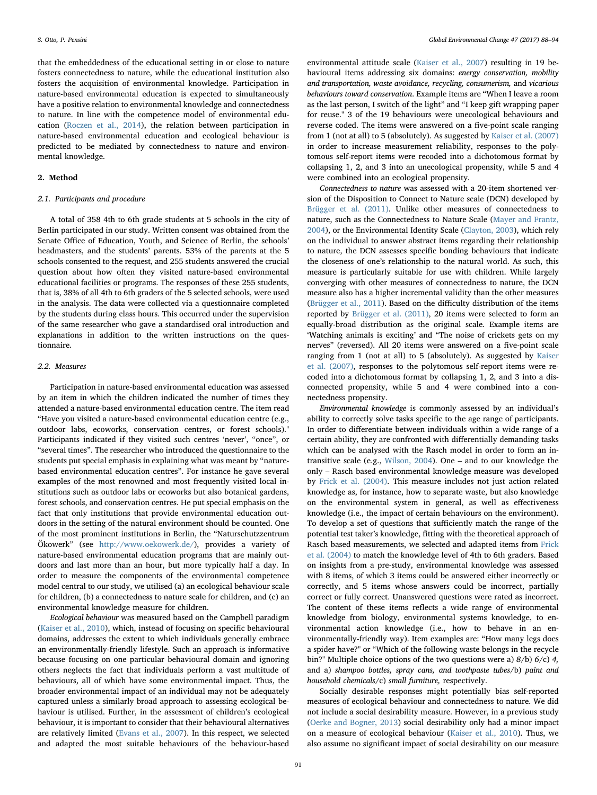that the embeddedness of the educational setting in or close to nature fosters connectedness to nature, while the educational institution also fosters the acquisition of environmental knowledge. Participation in nature-based environmental education is expected to simultaneously have a positive relation to environmental knowledge and connectedness to nature. In line with the competence model of environmental education ([Roczen et al., 2014\)](#page-6-15), the relation between participation in nature-based environmental education and ecological behaviour is predicted to be mediated by connectedness to nature and environmental knowledge.

# 2. Method

# 2.1. Participants and procedure

A total of 358 4th to 6th grade students at 5 schools in the city of Berlin participated in our study. Written consent was obtained from the Senate Office of Education, Youth, and Science of Berlin, the schools' headmasters, and the students' parents. 53% of the parents at the 5 schools consented to the request, and 255 students answered the crucial question about how often they visited nature-based environmental educational facilities or programs. The responses of these 255 students, that is, 38% of all 4th to 6th graders of the 5 selected schools, were used in the analysis. The data were collected via a questionnaire completed by the students during class hours. This occurred under the supervision of the same researcher who gave a standardised oral introduction and explanations in addition to the written instructions on the questionnaire.

#### 2.2. Measures

Participation in nature-based environmental education was assessed by an item in which the children indicated the number of times they attended a nature-based environmental education centre. The item read "Have you visited a nature-based environmental education centre (e.g., outdoor labs, ecoworks, conservation centres, or forest schools)." Participants indicated if they visited such centres 'never', "once", or "several times". The researcher who introduced the questionnaire to the students put special emphasis in explaining what was meant by "naturebased environmental education centres". For instance he gave several examples of the most renowned and most frequently visited local institutions such as outdoor labs or ecoworks but also botanical gardens, forest schools, and conservation centres. He put special emphasis on the fact that only institutions that provide environmental education outdoors in the setting of the natural environment should be counted. One of the most prominent institutions in Berlin, the "Naturschutzzentrum Ökowerk" (see [http://www.oekowerk.de/\)](http://www.oekowerk.de/), provides a variety of nature-based environmental education programs that are mainly outdoors and last more than an hour, but more typically half a day. In order to measure the components of the environmental competence model central to our study, we utilised (a) an ecological behaviour scale for children, (b) a connectedness to nature scale for children, and (c) an environmental knowledge measure for children.

Ecological behaviour was measured based on the Campbell paradigm ([Kaiser et al., 2010\)](#page-6-26), which, instead of focusing on specific behavioural domains, addresses the extent to which individuals generally embrace an environmentally-friendly lifestyle. Such an approach is informative because focusing on one particular behavioural domain and ignoring others neglects the fact that individuals perform a vast multitude of behaviours, all of which have some environmental impact. Thus, the broader environmental impact of an individual may not be adequately captured unless a similarly broad approach to assessing ecological behaviour is utilised. Further, in the assessment of children's ecological behaviour, it is important to consider that their behavioural alternatives are relatively limited ([Evans et al., 2007](#page-5-1)). In this respect, we selected and adapted the most suitable behaviours of the behaviour-based

environmental attitude scale ([Kaiser et al., 2007](#page-6-27)) resulting in 19 behavioural items addressing six domains: energy conservation, mobility and transportation, waste avoidance, recycling, consumerism, and vicarious behaviours toward conservation. Example items are "When I leave a room as the last person, I switch of the light" and "I keep gift wrapping paper for reuse." 3 of the 19 behaviours were unecological behaviours and reverse coded. The items were answered on a five-point scale ranging from 1 (not at all) to 5 (absolutely). As suggested by [Kaiser et al. \(2007\)](#page-6-27) in order to increase measurement reliability, responses to the polytomous self-report items were recoded into a dichotomous format by collapsing 1, 2, and 3 into an unecological propensity, while 5 and 4 were combined into an ecological propensity.

Connectedness to nature was assessed with a 20-item shortened version of the Disposition to Connect to Nature scale (DCN) developed by [Brügger et al. \(2011\).](#page-5-6) Unlike other measures of connectedness to nature, such as the Connectedness to Nature Scale [\(Mayer and Frantz,](#page-6-16) [2004\)](#page-6-16), or the Environmental Identity Scale [\(Clayton, 2003\)](#page-5-10), which rely on the individual to answer abstract items regarding their relationship to nature, the DCN assesses specific bonding behaviours that indicate the closeness of one's relationship to the natural world. As such, this measure is particularly suitable for use with children. While largely converging with other measures of connectedness to nature, the DCN measure also has a higher incremental validity than the other measures ([Brügger et al., 2011\)](#page-5-6). Based on the difficulty distribution of the items reported by [Brügger et al. \(2011\),](#page-5-6) 20 items were selected to form an equally-broad distribution as the original scale. Example items are 'Watching animals is exciting' and "The noise of crickets gets on my nerves" (reversed). All 20 items were answered on a five-point scale ranging from 1 (not at all) to 5 (absolutely). As suggested by [Kaiser](#page-6-27) [et al. \(2007\),](#page-6-27) responses to the polytomous self-report items were recoded into a dichotomous format by collapsing 1, 2, and 3 into a disconnected propensity, while 5 and 4 were combined into a connectedness propensity.

Environmental knowledge is commonly assessed by an individual's ability to correctly solve tasks specific to the age range of participants. In order to differentiate between individuals within a wide range of a certain ability, they are confronted with differentially demanding tasks which can be analysed with the Rasch model in order to form an intransitive scale (e.g., [Wilson, 2004](#page-6-28)). One – and to our knowledge the only – Rasch based environmental knowledge measure was developed by [Frick et al. \(2004\)](#page-5-2). This measure includes not just action related knowledge as, for instance, how to separate waste, but also knowledge on the environmental system in general, as well as effectiveness knowledge (i.e., the impact of certain behaviours on the environment). To develop a set of questions that sufficiently match the range of the potential test taker's knowledge, fitting with the theoretical approach of Rasch based measurements, we selected and adapted items from [Frick](#page-5-2) [et al. \(2004\)](#page-5-2) to match the knowledge level of 4th to 6th graders. Based on insights from a pre-study, environmental knowledge was assessed with 8 items, of which 3 items could be answered either incorrectly or correctly, and 5 items whose answers could be incorrect, partially correct or fully correct. Unanswered questions were rated as incorrect. The content of these items reflects a wide range of environmental knowledge from biology, environmental systems knowledge, to environmental action knowledge (i.e., how to behave in an environmentally-friendly way). Item examples are: "How many legs does a spider have?" or "Which of the following waste belongs in the recycle bin?" Multiple choice options of the two questions were a) 8/b) 6/c) 4, and a) shampoo bottles, spray cans, and toothpaste tubes/b) paint and household chemicals/c) small furniture, respectively.

Socially desirable responses might potentially bias self-reported measures of ecological behaviour and connectedness to nature. We did not include a social desirability measure. However, in a previous study ([Oerke and Bogner, 2013](#page-6-29)) social desirability only had a minor impact on a measure of ecological behaviour [\(Kaiser et al., 2010](#page-6-26)). Thus, we also assume no significant impact of social desirability on our measure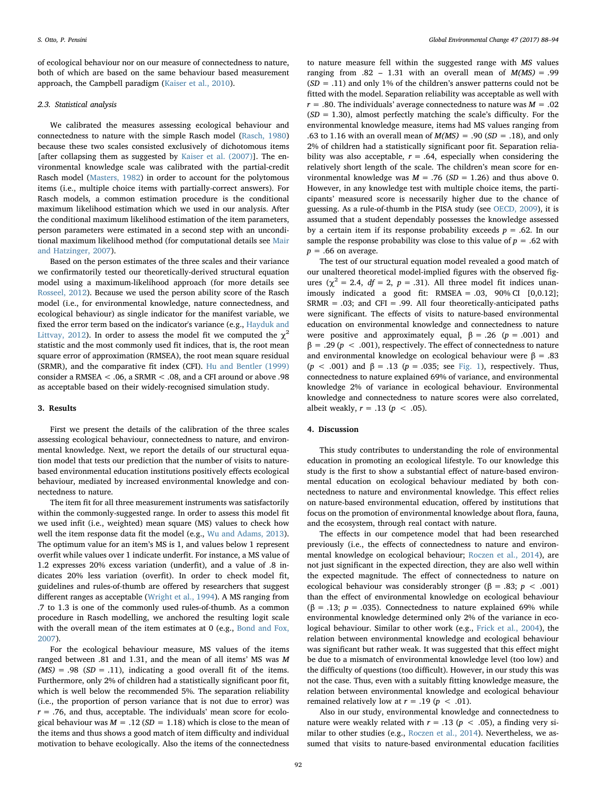of ecological behaviour nor on our measure of connectedness to nature, both of which are based on the same behaviour based measurement approach, the Campbell paradigm [\(Kaiser et al., 2010](#page-6-26)).

#### 2.3. Statistical analysis

We calibrated the measures assessing ecological behaviour and connectedness to nature with the simple Rasch model [\(Rasch, 1980\)](#page-6-30) because these two scales consisted exclusively of dichotomous items [after collapsing them as suggested by [Kaiser et al. \(2007\)](#page-6-27)]. The environmental knowledge scale was calibrated with the partial-credit Rasch model ([Masters, 1982](#page-6-31)) in order to account for the polytomous items (i.e., multiple choice items with partially-correct answers). For Rasch models, a common estimation procedure is the conditional maximum likelihood estimation which we used in our analysis. After the conditional maximum likelihood estimation of the item parameters, person parameters were estimated in a second step with an unconditional maximum likelihood method (for computational details see [Mair](#page-6-32) [and Hatzinger, 2007\)](#page-6-32).

Based on the person estimates of the three scales and their variance we confirmatorily tested our theoretically-derived structural equation model using a maximum-likelihood approach (for more details see [Rosseel, 2012\)](#page-6-33). Because we used the person ability score of the Rasch model (i.e., for environmental knowledge, nature connectedness, and ecological behaviour) as single indicator for the manifest variable, we fixed the error term based on the indicator's variance (e.g., [Hayduk and](#page-5-11) [Littvay, 2012\)](#page-5-11). In order to assess the model fit we computed the  $\chi^2$ statistic and the most commonly used fit indices, that is, the root mean square error of approximation (RMSEA), the root mean square residual (SRMR), and the comparative fit index (CFI). [Hu and Bentler \(1999\)](#page-6-34) consider a RMSEA < .06, a SRMR < .08, and a CFI around or above .98 as acceptable based on their widely-recognised simulation study.

### 3. Results

First we present the details of the calibration of the three scales assessing ecological behaviour, connectedness to nature, and environmental knowledge. Next, we report the details of our structural equation model that tests our prediction that the number of visits to naturebased environmental education institutions positively effects ecological behaviour, mediated by increased environmental knowledge and connectedness to nature.

The item fit for all three measurement instruments was satisfactorily within the commonly-suggested range. In order to assess this model fit we used infit (i.e., weighted) mean square (MS) values to check how well the item response data fit the model (e.g., [Wu and Adams, 2013](#page-6-35)). The optimum value for an item's MS is 1, and values below 1 represent overfit while values over 1 indicate underfit. For instance, a MS value of 1.2 expresses 20% excess variation (underfit), and a value of .8 indicates 20% less variation (overfit). In order to check model fit, guidelines and rules-of-thumb are offered by researchers that suggest different ranges as acceptable [\(Wright et al., 1994](#page-6-36)). A MS ranging from .7 to 1.3 is one of the commonly used rules-of-thumb. As a common procedure in Rasch modelling, we anchored the resulting logit scale with the overall mean of the item estimates at 0 (e.g., [Bond and Fox,](#page-5-12) [2007\)](#page-5-12).

For the ecological behaviour measure, MS values of the items ranged between .81 and 1.31, and the mean of all items' MS was M  $(MS) = .98$  (SD = .11), indicating a good overall fit of the items. Furthermore, only 2% of children had a statistically significant poor fit, which is well below the recommended 5%. The separation reliability (i.e., the proportion of person variance that is not due to error) was  $r = .76$ , and thus, acceptable. The individuals' mean score for ecological behaviour was  $M = .12$  (SD = 1.18) which is close to the mean of the items and thus shows a good match of item difficulty and individual motivation to behave ecologically. Also the items of the connectedness

to nature measure fell within the suggested range with MS values ranging from  $.82 - 1.31$  with an overall mean of  $M(MS) = .99$  $(SD = .11)$  and only 1% of the children's answer patterns could not be fitted with the model. Separation reliability was acceptable as well with  $r = .80$ . The individuals' average connectedness to nature was  $M = .02$  $(SD = 1.30)$ , almost perfectly matching the scale's difficulty. For the environmental knowledge measure, items had MS values ranging from .63 to 1.16 with an overall mean of  $M(MS) = .90$  (SD = .18), and only 2% of children had a statistically significant poor fit. Separation reliability was also acceptable,  $r = .64$ , especially when considering the relatively short length of the scale. The children's mean score for environmental knowledge was  $M = .76$  (SD = 1.26) and thus above 0. However, in any knowledge test with multiple choice items, the participants' measured score is necessarily higher due to the chance of guessing. As a rule-of-thumb in the PISA study (see [OECD, 2009](#page-6-37)), it is assumed that a student dependably possesses the knowledge assessed by a certain item if its response probability exceeds  $p = .62$ . In our sample the response probability was close to this value of  $p = .62$  with  $p = .66$  on average.

The test of our structural equation model revealed a good match of our unaltered theoretical model-implied figures with the observed figures ( $\chi^2$  = 2.4,  $df$  = 2, p = .31). All three model fit indices unanimously indicated a good fit: RMSEA = .03, 90% CI [0,0.12];  $SRMR = .03$ ; and  $CFI = .99$ . All four theoretically-anticipated paths were significant. The effects of visits to nature-based environmental education on environmental knowledge and connectedness to nature were positive and approximately equal,  $\beta = .26$  ( $p = .001$ ) and  $β = .29 (p < .001)$ , respectively. The effect of connectedness to nature and environmental knowledge on ecological behaviour were  $β = .83$ (p < .001) and  $\beta$  = .13 (p = .035; see [Fig. 1](#page-2-0)), respectively. Thus, connectedness to nature explained 69% of variance, and environmental knowledge 2% of variance in ecological behaviour. Environmental knowledge and connectedness to nature scores were also correlated, albeit weakly,  $r = .13$  ( $p < .05$ ).

# 4. Discussion

This study contributes to understanding the role of environmental education in promoting an ecological lifestyle. To our knowledge this study is the first to show a substantial effect of nature-based environmental education on ecological behaviour mediated by both connectedness to nature and environmental knowledge. This effect relies on nature-based environmental education, offered by institutions that focus on the promotion of environmental knowledge about flora, fauna, and the ecosystem, through real contact with nature.

The effects in our competence model that had been researched previously (i.e., the effects of connectedness to nature and environmental knowledge on ecological behaviour; [Roczen et al., 2014](#page-6-15)), are not just significant in the expected direction, they are also well within the expected magnitude. The effect of connectedness to nature on ecological behaviour was considerably stronger ( $\beta$  = .83;  $p$  < .001) than the effect of environmental knowledge on ecological behaviour ( $\beta$  = .13; *p* = .035). Connectedness to nature explained 69% while environmental knowledge determined only 2% of the variance in ecological behaviour. Similar to other work (e.g., [Frick et al., 2004](#page-5-2)), the relation between environmental knowledge and ecological behaviour was significant but rather weak. It was suggested that this effect might be due to a mismatch of environmental knowledge level (too low) and the difficulty of questions (too difficult). However, in our study this was not the case. Thus, even with a suitably fitting knowledge measure, the relation between environmental knowledge and ecological behaviour remained relatively low at  $r = .19$  ( $p < .01$ ).

Also in our study, environmental knowledge and connectedness to nature were weakly related with  $r = .13$  ( $p < .05$ ), a finding very similar to other studies (e.g., [Roczen et al., 2014\)](#page-6-15). Nevertheless, we assumed that visits to nature-based environmental education facilities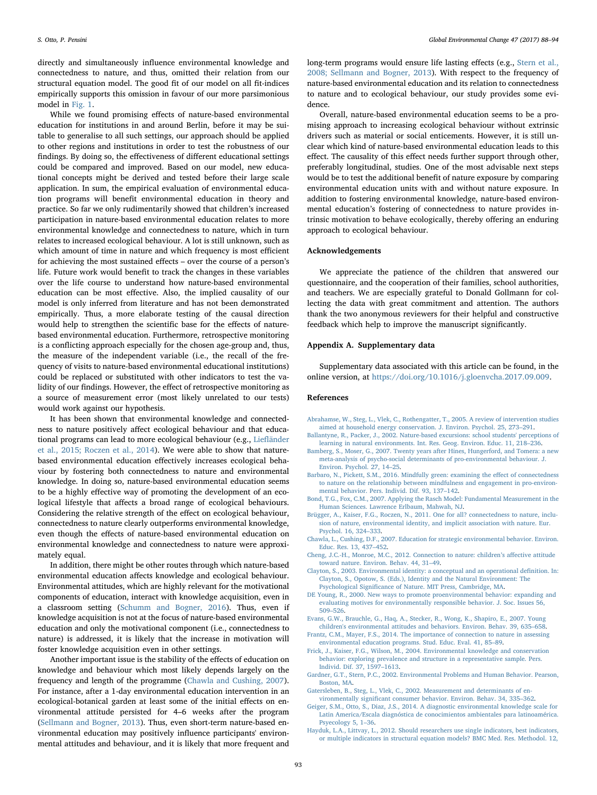directly and simultaneously influence environmental knowledge and connectedness to nature, and thus, omitted their relation from our structural equation model. The good fit of our model on all fit-indices empirically supports this omission in favour of our more parsimonious model in [Fig. 1](#page-2-0).

While we found promising effects of nature-based environmental education for institutions in and around Berlin, before it may be suitable to generalise to all such settings, our approach should be applied to other regions and institutions in order to test the robustness of our findings. By doing so, the effectiveness of different educational settings could be compared and improved. Based on our model, new educational concepts might be derived and tested before their large scale application. In sum, the empirical evaluation of environmental education programs will benefit environmental education in theory and practice. So far we only rudimentarily showed that children's increased participation in nature-based environmental education relates to more environmental knowledge and connectedness to nature, which in turn relates to increased ecological behaviour. A lot is still unknown, such as which amount of time in nature and which frequency is most efficient for achieving the most sustained effects – over the course of a person's life. Future work would benefit to track the changes in these variables over the life course to understand how nature-based environmental education can be most effective. Also, the implied causality of our model is only inferred from literature and has not been demonstrated empirically. Thus, a more elaborate testing of the causal direction would help to strengthen the scientific base for the effects of naturebased environmental education. Furthermore, retrospective monitoring is a conflicting approach especially for the chosen age-group and, thus, the measure of the independent variable (i.e., the recall of the frequency of visits to nature-based environmental educational institutions) could be replaced or substituted with other indicators to test the validity of our findings. However, the effect of retrospective monitoring as a source of measurement error (most likely unrelated to our tests) would work against our hypothesis.

It has been shown that environmental knowledge and connectedness to nature positively affect ecological behaviour and that educational programs can lead to more ecological behaviour (e.g., Liefl[änder](#page-6-38) [et al., 2015; Roczen et al., 2014](#page-6-38)). We were able to show that naturebased environmental education effectively increases ecological behaviour by fostering both connectedness to nature and environmental knowledge. In doing so, nature-based environmental education seems to be a highly effective way of promoting the development of an ecological lifestyle that affects a broad range of ecological behaviours. Considering the relative strength of the effect on ecological behaviour, connectedness to nature clearly outperforms environmental knowledge, even though the effects of nature-based environmental education on environmental knowledge and connectedness to nature were approximately equal.

In addition, there might be other routes through which nature-based environmental education affects knowledge and ecological behaviour. Environmental attitudes, which are highly relevant for the motivational components of education, interact with knowledge acquisition, even in a classroom setting [\(Schumm and Bogner, 2016\)](#page-6-39). Thus, even if knowledge acquisition is not at the focus of nature-based environmental education and only the motivational component (i.e., connectedness to nature) is addressed, it is likely that the increase in motivation will foster knowledge acquisition even in other settings.

Another important issue is the stability of the effects of education on knowledge and behaviour which most likely depends largely on the frequency and length of the programme ([Chawla and Cushing, 2007](#page-5-9)). For instance, after a 1-day environmental education intervention in an ecological-botanical garden at least some of the initial effects on environmental attitude persisted for 4–6 weeks after the program ([Sellmann and Bogner, 2013\)](#page-6-24). Thus, even short-term nature-based environmental education may positively influence participants' environmental attitudes and behaviour, and it is likely that more frequent and long-term programs would ensure life lasting effects (e.g., [Stern et al.,](#page-6-25) [2008; Sellmann and Bogner, 2013\)](#page-6-25). With respect to the frequency of nature-based environmental education and its relation to connectedness to nature and to ecological behaviour, our study provides some evidence.

Overall, nature-based environmental education seems to be a promising approach to increasing ecological behaviour without extrinsic drivers such as material or social enticements. However, it is still unclear which kind of nature-based environmental education leads to this effect. The causality of this effect needs further support through other, preferably longitudinal, studies. One of the most advisable next steps would be to test the additional benefit of nature exposure by comparing environmental education units with and without nature exposure. In addition to fostering environmental knowledge, nature-based environmental education's fostering of connectedness to nature provides intrinsic motivation to behave ecologically, thereby offering an enduring approach to ecological behaviour.

#### Acknowledgements

We appreciate the patience of the children that answered our questionnaire, and the cooperation of their families, school authorities, and teachers. We are especially grateful to Donald Gollmann for collecting the data with great commitment and attention. The authors thank the two anonymous reviewers for their helpful and constructive feedback which help to improve the manuscript significantly.

## Appendix A. Supplementary data

Supplementary data associated with this article can be found, in the online version, at [https://doi.org/10.1016/j.gloenvcha.2017.09.009.](https://doi.org/10.1016/j.gloenvcha.2017.09.009)

### References

- <span id="page-5-5"></span>[Abrahamse, W., Steg, L., Vlek, C., Rothengatter, T., 2005. A review of intervention studies](http://refhub.elsevier.com/S0959-3780(16)30578-7/sbref0005) [aimed at household energy conservation. J. Environ. Psychol. 25, 273](http://refhub.elsevier.com/S0959-3780(16)30578-7/sbref0005)–291.
- <span id="page-5-8"></span>[Ballantyne, R., Packer, J., 2002. Nature-based excursions: school students' perceptions of](http://refhub.elsevier.com/S0959-3780(16)30578-7/sbref0010) [learning in natural environments. Int. Res. Geog. Environ. Educ. 11, 218](http://refhub.elsevier.com/S0959-3780(16)30578-7/sbref0010)–236.
- [Bamberg, S., Moser, G., 2007. Twenty years after Hines, Hungerford, and Tomera: a new](http://refhub.elsevier.com/S0959-3780(16)30578-7/sbref0015) [meta-analysis of psycho-social determinants of pro-environmental behaviour. J.](http://refhub.elsevier.com/S0959-3780(16)30578-7/sbref0015) [Environ. Psychol. 27, 14](http://refhub.elsevier.com/S0959-3780(16)30578-7/sbref0015)–25.
- [Barbaro, N., Pickett, S.M., 2016. Mindfully green: examining the e](http://refhub.elsevier.com/S0959-3780(16)30578-7/sbref0020)ffect of connectedness [to nature on the relationship between mindfulness and engagement in pro-environ](http://refhub.elsevier.com/S0959-3780(16)30578-7/sbref0020)[mental behavior. Pers. Individ. Dif. 93, 137](http://refhub.elsevier.com/S0959-3780(16)30578-7/sbref0020)–142.
- <span id="page-5-12"></span>[Bond, T.G., Fox, C.M., 2007. Applying the Rasch Model: Fundamental Measurement in the](http://refhub.elsevier.com/S0959-3780(16)30578-7/sbref0025) [Human Sciences. Lawrence Erlbaum, Mahwah, NJ.](http://refhub.elsevier.com/S0959-3780(16)30578-7/sbref0025)
- <span id="page-5-6"></span>[Brügger, A., Kaiser, F.G., Roczen, N., 2011. One for all? connectedness to nature, inclu](http://refhub.elsevier.com/S0959-3780(16)30578-7/sbref0030)[sion of nature, environmental identity, and implicit association with nature. Eur.](http://refhub.elsevier.com/S0959-3780(16)30578-7/sbref0030) [Psychol. 16, 324](http://refhub.elsevier.com/S0959-3780(16)30578-7/sbref0030)–333.
- <span id="page-5-9"></span>[Chawla, L., Cushing, D.F., 2007. Education for strategic environmental behavior. Environ.](http://refhub.elsevier.com/S0959-3780(16)30578-7/sbref0035) [Educ. Res. 13, 437](http://refhub.elsevier.com/S0959-3780(16)30578-7/sbref0035)–452.
- <span id="page-5-7"></span>[Cheng, J.C.-H., Monroe, M.C., 2012. Connection to nature: children](http://refhub.elsevier.com/S0959-3780(16)30578-7/sbref0040)'s affective attitude [toward nature. Environ. Behav. 44, 31](http://refhub.elsevier.com/S0959-3780(16)30578-7/sbref0040)–49.
- <span id="page-5-10"></span>[Clayton, S., 2003. Environmental identity: a conceptual and an operational de](http://refhub.elsevier.com/S0959-3780(16)30578-7/sbref0045)finition. In: [Clayton, S., Opotow, S. \(Eds.\), Identity and the Natural Environment: The](http://refhub.elsevier.com/S0959-3780(16)30578-7/sbref0045) Psychological Signifi[cance of Nature. MIT Press, Cambridge, MA.](http://refhub.elsevier.com/S0959-3780(16)30578-7/sbref0045)
- <span id="page-5-0"></span>[DE Young, R., 2000. New ways to promote proenvironmental behavior: expanding and](http://refhub.elsevier.com/S0959-3780(16)30578-7/sbref0050) [evaluating motives for environmentally responsible behavior. J. Soc. Issues 56,](http://refhub.elsevier.com/S0959-3780(16)30578-7/sbref0050) 509–[526](http://refhub.elsevier.com/S0959-3780(16)30578-7/sbref0050).
- <span id="page-5-1"></span>[Evans, G.W., Brauchle, G., Haq, A., Stecker, R., Wong, K., Shapiro, E., 2007. Young](http://refhub.elsevier.com/S0959-3780(16)30578-7/sbref0055) [children's environmental attitudes and behaviors. Environ. Behav. 39, 635](http://refhub.elsevier.com/S0959-3780(16)30578-7/sbref0055)–658.
- [Frantz, C.M., Mayer, F.S., 2014. The importance of connection to nature in assessing](http://refhub.elsevier.com/S0959-3780(16)30578-7/sbref0060) [environmental education programs. Stud. Educ. Eval. 41, 85](http://refhub.elsevier.com/S0959-3780(16)30578-7/sbref0060)–89.
- <span id="page-5-2"></span>[Frick, J., Kaiser, F.G., Wilson, M., 2004. Environmental knowledge and conservation](http://refhub.elsevier.com/S0959-3780(16)30578-7/sbref0065) [behavior: exploring prevalence and structure in a representative sample. Pers.](http://refhub.elsevier.com/S0959-3780(16)30578-7/sbref0065) [Individ. Dif. 37, 1597](http://refhub.elsevier.com/S0959-3780(16)30578-7/sbref0065)–1613.
- [Gardner, G.T., Stern, P.C., 2002. Environmental Problems and Human Behavior. Pearson,](http://refhub.elsevier.com/S0959-3780(16)30578-7/sbref0070) [Boston, MA](http://refhub.elsevier.com/S0959-3780(16)30578-7/sbref0070).
- <span id="page-5-4"></span>[Gatersleben, B., Steg, L., Vlek, C., 2002. Measurement and determinants of en](http://refhub.elsevier.com/S0959-3780(16)30578-7/sbref0075)vironmentally signifi[cant consumer behavior. Environ. Behav. 34, 335](http://refhub.elsevier.com/S0959-3780(16)30578-7/sbref0075)–362.
- <span id="page-5-3"></span>[Geiger, S.M., Otto, S., Diaz, J.S., 2014. A diagnostic environmental knowledge scale for](http://refhub.elsevier.com/S0959-3780(16)30578-7/sbref0080) [Latin America/Escala diagnóstica de conocimientos ambientales para latinoamérica.](http://refhub.elsevier.com/S0959-3780(16)30578-7/sbref0080) [Psyecology 5, 1](http://refhub.elsevier.com/S0959-3780(16)30578-7/sbref0080)–36.
- <span id="page-5-11"></span>[Hayduk, L.A., Littvay, L., 2012. Should researchers use single indicators, best indicators,](http://refhub.elsevier.com/S0959-3780(16)30578-7/sbref0085) [or multiple indicators in structural equation models? BMC Med. Res. Methodol. 12,](http://refhub.elsevier.com/S0959-3780(16)30578-7/sbref0085)